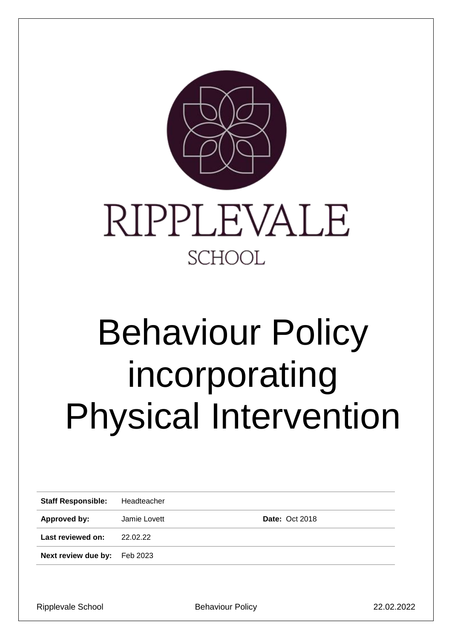

# Behaviour Policy incorporating Physical Intervention

| <b>Staff Responsible:</b>    | Headteacher  |                       |
|------------------------------|--------------|-----------------------|
| Approved by:                 | Jamie Lovett | <b>Date: Oct 2018</b> |
| Last reviewed on:            | 22.02.22     |                       |
| Next review due by: Feb 2023 |              |                       |
|                              |              |                       |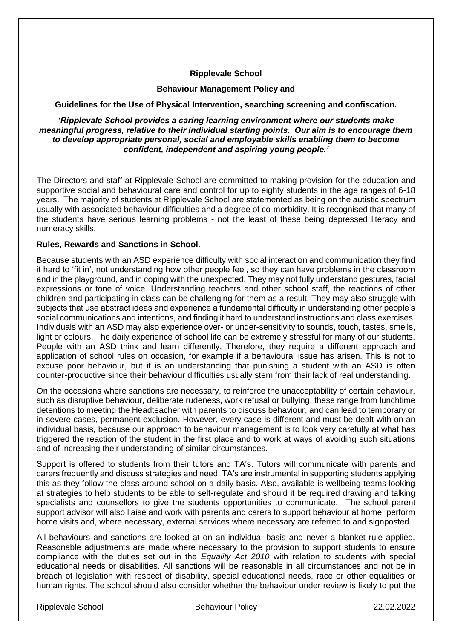# **Ripplevale School**

## **Behaviour Management Policy and**

#### **Guidelines for the Use of Physical Intervention, searching screening and confiscation.**

*'Ripplevale School provides a caring learning environment where our students make meaningful progress, relative to their individual starting points. Our aim is to encourage them to develop appropriate personal, social and employable skills enabling them to become confident, independent and aspiring young people.'*

The Directors and staff at Ripplevale School are committed to making provision for the education and supportive social and behavioural care and control for up to eighty students in the age ranges of 6-18 years. The majority of students at Ripplevale School are statemented as being on the autistic spectrum usually with associated behaviour difficulties and a degree of co-morbidity. It is recognised that many of the students have serious learning problems - not the least of these being depressed literacy and numeracy skills.

#### **Rules, Rewards and Sanctions in School.**

Because students with an ASD experience difficulty with social interaction and communication they find it hard to 'fit in', not understanding how other people feel, so they can have problems in the classroom and in the playground, and in coping with the unexpected. They may not fully understand gestures, facial expressions or tone of voice. Understanding teachers and other school staff, the reactions of other children and participating in class can be challenging for them as a result. They may also struggle with subjects that use abstract ideas and experience a fundamental difficulty in understanding other people's social communications and intentions, and finding it hard to understand instructions and class exercises. Individuals with an ASD may also experience over- or under-sensitivity to sounds, touch, tastes, smells, light or colours. The daily experience of school life can be extremely stressful for many of our students. People with an ASD think and learn differently. Therefore, they require a different approach and application of school rules on occasion, for example if a behavioural issue has arisen. This is not to excuse poor behaviour, but it is an understanding that punishing a student with an ASD is often counter-productive since their behaviour difficulties usually stem from their lack of real understanding.

On the occasions where sanctions are necessary, to reinforce the unacceptability of certain behaviour, such as disruptive behaviour, deliberate rudeness, work refusal or bullying, these range from lunchtime detentions to meeting the Headteacher with parents to discuss behaviour, and can lead to temporary or in severe cases, permanent exclusion. However, every case is different and must be dealt with on an individual basis, because our approach to behaviour management is to look very carefully at what has triggered the reaction of the student in the first place and to work at ways of avoiding such situations and of increasing their understanding of similar circumstances.

Support is offered to students from their tutors and TA's. Tutors will communicate with parents and carers frequently and discuss strategies and need, TA's are instrumental in supporting students applying this as they follow the class around school on a daily basis. Also, available is wellbeing teams looking at strategies to help students to be able to self-regulate and should it be required drawing and talking specialists and counsellors to give the students opportunities to communicate. The school parent support advisor will also liaise and work with parents and carers to support behaviour at home, perform home visits and, where necessary, external services where necessary are referred to and signposted.

All behaviours and sanctions are looked at on an individual basis and never a blanket rule applied. Reasonable adjustments are made where necessary to the provision to support students to ensure compliance with the duties set out in the *Equality Act 2010* with relation to students with special educational needs or disabilities. All sanctions will be reasonable in all circumstances and not be in breach of legislation with respect of disability, special educational needs, race or other equalities or human rights. The school should also consider whether the behaviour under review is likely to put the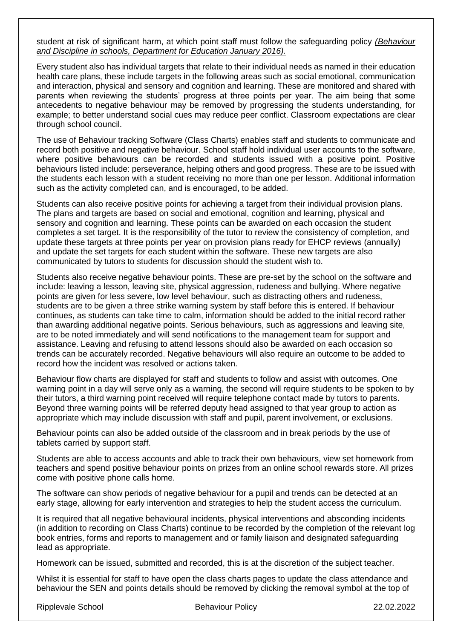student at risk of significant harm, at which point staff must follow the safeguarding policy *(Behaviour and Discipline in schools, Department for Education January 2016).* 

Every student also has individual targets that relate to their individual needs as named in their education health care plans, these include targets in the following areas such as social emotional, communication and interaction, physical and sensory and cognition and learning. These are monitored and shared with parents when reviewing the students' progress at three points per year. The aim being that some antecedents to negative behaviour may be removed by progressing the students understanding, for example; to better understand social cues may reduce peer conflict. Classroom expectations are clear through school council.

The use of Behaviour tracking Software (Class Charts) enables staff and students to communicate and record both positive and negative behaviour. School staff hold individual user accounts to the software, where positive behaviours can be recorded and students issued with a positive point. Positive behaviours listed include: perseverance, helping others and good progress. These are to be issued with the students each lesson with a student receiving no more than one per lesson. Additional information such as the activity completed can, and is encouraged, to be added.

Students can also receive positive points for achieving a target from their individual provision plans. The plans and targets are based on social and emotional, cognition and learning, physical and sensory and cognition and learning. These points can be awarded on each occasion the student completes a set target. It is the responsibility of the tutor to review the consistency of completion, and update these targets at three points per year on provision plans ready for EHCP reviews (annually) and update the set targets for each student within the software. These new targets are also communicated by tutors to students for discussion should the student wish to.

Students also receive negative behaviour points. These are pre-set by the school on the software and include: leaving a lesson, leaving site, physical aggression, rudeness and bullying. Where negative points are given for less severe, low level behaviour, such as distracting others and rudeness, students are to be given a three strike warning system by staff before this is entered. If behaviour continues, as students can take time to calm, information should be added to the initial record rather than awarding additional negative points. Serious behaviours, such as aggressions and leaving site, are to be noted immediately and will send notifications to the management team for support and assistance. Leaving and refusing to attend lessons should also be awarded on each occasion so trends can be accurately recorded. Negative behaviours will also require an outcome to be added to record how the incident was resolved or actions taken.

Behaviour flow charts are displayed for staff and students to follow and assist with outcomes. One warning point in a day will serve only as a warning, the second will require students to be spoken to by their tutors, a third warning point received will require telephone contact made by tutors to parents. Beyond three warning points will be referred deputy head assigned to that year group to action as appropriate which may include discussion with staff and pupil, parent involvement, or exclusions.

Behaviour points can also be added outside of the classroom and in break periods by the use of tablets carried by support staff.

Students are able to access accounts and able to track their own behaviours, view set homework from teachers and spend positive behaviour points on prizes from an online school rewards store. All prizes come with positive phone calls home.

The software can show periods of negative behaviour for a pupil and trends can be detected at an early stage, allowing for early intervention and strategies to help the student access the curriculum.

It is required that all negative behavioural incidents, physical interventions and absconding incidents (in addition to recording on Class Charts) continue to be recorded by the completion of the relevant log book entries, forms and reports to management and or family liaison and designated safeguarding lead as appropriate.

Homework can be issued, submitted and recorded, this is at the discretion of the subject teacher.

Whilst it is essential for staff to have open the class charts pages to update the class attendance and behaviour the SEN and points details should be removed by clicking the removal symbol at the top of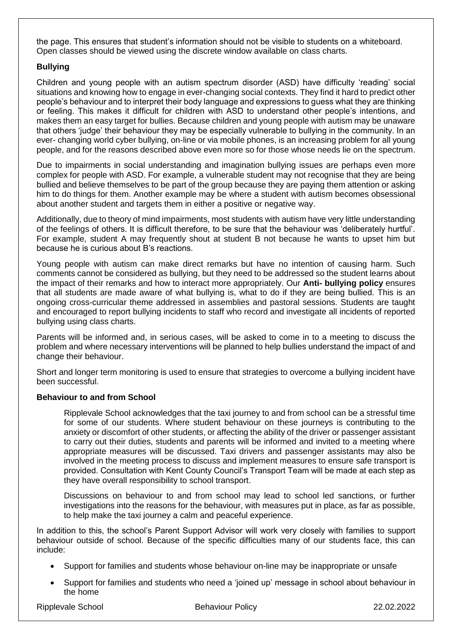the page. This ensures that student's information should not be visible to students on a whiteboard. Open classes should be viewed using the discrete window available on class charts.

# **Bullying**

Children and young people with an autism spectrum disorder (ASD) have difficulty 'reading' social situations and knowing how to engage in ever-changing social contexts. They find it hard to predict other people's behaviour and to interpret their body language and expressions to guess what they are thinking or feeling. This makes it difficult for children with ASD to understand other people's intentions, and makes them an easy target for bullies. Because children and young people with autism may be unaware that others 'judge' their behaviour they may be especially vulnerable to bullying in the community. In an ever- changing world cyber bullying, on-line or via mobile phones, is an increasing problem for all young people, and for the reasons described above even more so for those whose needs lie on the spectrum.

Due to impairments in social understanding and imagination bullying issues are perhaps even more complex for people with ASD. For example, a vulnerable student may not recognise that they are being bullied and believe themselves to be part of the group because they are paying them attention or asking him to do things for them. Another example may be where a student with autism becomes obsessional about another student and targets them in either a positive or negative way.

Additionally, due to theory of mind impairments, most students with autism have very little understanding of the feelings of others. It is difficult therefore, to be sure that the behaviour was 'deliberately hurtful'. For example, student A may frequently shout at student B not because he wants to upset him but because he is curious about B's reactions.

Young people with autism can make direct remarks but have no intention of causing harm. Such comments cannot be considered as bullying, but they need to be addressed so the student learns about the impact of their remarks and how to interact more appropriately. Our **Anti- bullying policy** ensures that all students are made aware of what bullying is, what to do if they are being bullied. This is an ongoing cross-curricular theme addressed in assemblies and pastoral sessions. Students are taught and encouraged to report bullying incidents to staff who record and investigate all incidents of reported bullying using class charts.

Parents will be informed and, in serious cases, will be asked to come in to a meeting to discuss the problem and where necessary interventions will be planned to help bullies understand the impact of and change their behaviour.

Short and longer term monitoring is used to ensure that strategies to overcome a bullying incident have been successful.

# **Behaviour to and from School**

Ripplevale School acknowledges that the taxi journey to and from school can be a stressful time for some of our students. Where student behaviour on these journeys is contributing to the anxiety or discomfort of other students, or affecting the ability of the driver or passenger assistant to carry out their duties, students and parents will be informed and invited to a meeting where appropriate measures will be discussed. Taxi drivers and passenger assistants may also be involved in the meeting process to discuss and implement measures to ensure safe transport is provided. Consultation with Kent County Council's Transport Team will be made at each step as they have overall responsibility to school transport.

Discussions on behaviour to and from school may lead to school led sanctions, or further investigations into the reasons for the behaviour, with measures put in place, as far as possible, to help make the taxi journey a calm and peaceful experience.

In addition to this, the school's Parent Support Advisor will work very closely with families to support behaviour outside of school. Because of the specific difficulties many of our students face, this can include:

- Support for families and students whose behaviour on-line may be inappropriate or unsafe
- Support for families and students who need a 'joined up' message in school about behaviour in the home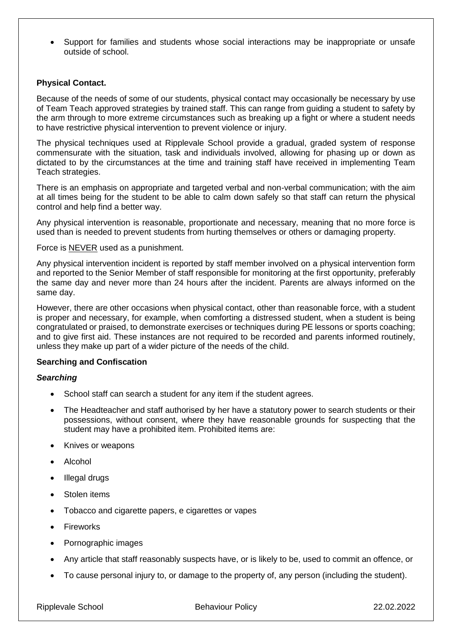• Support for families and students whose social interactions may be inappropriate or unsafe outside of school.

## **Physical Contact.**

Because of the needs of some of our students, physical contact may occasionally be necessary by use of Team Teach approved strategies by trained staff. This can range from guiding a student to safety by the arm through to more extreme circumstances such as breaking up a fight or where a student needs to have restrictive physical intervention to prevent violence or injury.

The physical techniques used at Ripplevale School provide a gradual, graded system of response commensurate with the situation, task and individuals involved, allowing for phasing up or down as dictated to by the circumstances at the time and training staff have received in implementing Team Teach strategies.

There is an emphasis on appropriate and targeted verbal and non-verbal communication; with the aim at all times being for the student to be able to calm down safely so that staff can return the physical control and help find a better way.

Any physical intervention is reasonable, proportionate and necessary, meaning that no more force is used than is needed to prevent students from hurting themselves or others or damaging property.

Force is NEVER used as a punishment.

Any physical intervention incident is reported by staff member involved on a physical intervention form and reported to the Senior Member of staff responsible for monitoring at the first opportunity, preferably the same day and never more than 24 hours after the incident. Parents are always informed on the same day.

However, there are other occasions when physical contact, other than reasonable force, with a student is proper and necessary, for example, when comforting a distressed student, when a student is being congratulated or praised, to demonstrate exercises or techniques during PE lessons or sports coaching; and to give first aid. These instances are not required to be recorded and parents informed routinely, unless they make up part of a wider picture of the needs of the child.

# **Searching and Confiscation**

#### *Searching*

- School staff can search a student for any item if the student agrees.
- The Headteacher and staff authorised by her have a statutory power to search students or their possessions, without consent, where they have reasonable grounds for suspecting that the student may have a prohibited item. Prohibited items are:
- Knives or weapons
- Alcohol
- Illegal drugs
- Stolen items
- Tobacco and cigarette papers, e cigarettes or vapes
- **Fireworks**
- Pornographic images
- Any article that staff reasonably suspects have, or is likely to be, used to commit an offence, or
- To cause personal injury to, or damage to the property of, any person (including the student).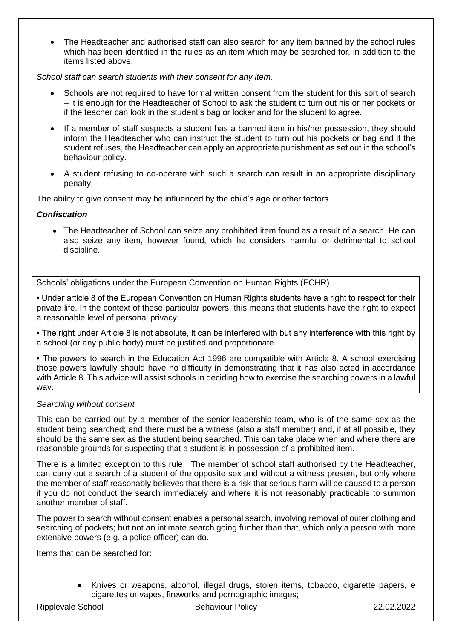• The Headteacher and authorised staff can also search for any item banned by the school rules which has been identified in the rules as an item which may be searched for, in addition to the items listed above.

# *School staff can search students with their consent for any item.*

- Schools are not required to have formal written consent from the student for this sort of search – it is enough for the Headteacher of School to ask the student to turn out his or her pockets or if the teacher can look in the student's bag or locker and for the student to agree.
- If a member of staff suspects a student has a banned item in his/her possession, they should inform the Headteacher who can instruct the student to turn out his pockets or bag and if the student refuses, the Headteacher can apply an appropriate punishment as set out in the school's behaviour policy.
- A student refusing to co-operate with such a search can result in an appropriate disciplinary penalty.

The ability to give consent may be influenced by the child's age or other factors

## *Confiscation*

• The Headteacher of School can seize any prohibited item found as a result of a search. He can also seize any item, however found, which he considers harmful or detrimental to school discipline.

Schools' obligations under the European Convention on Human Rights (ECHR)

• Under article 8 of the European Convention on Human Rights students have a right to respect for their private life. In the context of these particular powers, this means that students have the right to expect a reasonable level of personal privacy.

• The right under Article 8 is not absolute, it can be interfered with but any interference with this right by a school (or any public body) must be justified and proportionate.

• The powers to search in the Education Act 1996 are compatible with Article 8. A school exercising those powers lawfully should have no difficulty in demonstrating that it has also acted in accordance with Article 8. This advice will assist schools in deciding how to exercise the searching powers in a lawful way.

#### *Searching without consent*

This can be carried out by a member of the senior leadership team, who is of the same sex as the student being searched; and there must be a witness (also a staff member) and, if at all possible, they should be the same sex as the student being searched. This can take place when and where there are reasonable grounds for suspecting that a student is in possession of a prohibited item.

There is a limited exception to this rule. The member of school staff authorised by the Headteacher, can carry out a search of a student of the opposite sex and without a witness present, but only where the member of staff reasonably believes that there is a risk that serious harm will be caused to a person if you do not conduct the search immediately and where it is not reasonably practicable to summon another member of staff.

The power to search without consent enables a personal search, involving removal of outer clothing and searching of pockets; but not an intimate search going further than that, which only a person with more extensive powers (e.g. a police officer) can do.

Items that can be searched for:

• Knives or weapons, alcohol, illegal drugs, stolen items, tobacco, cigarette papers, e cigarettes or vapes, fireworks and pornographic images;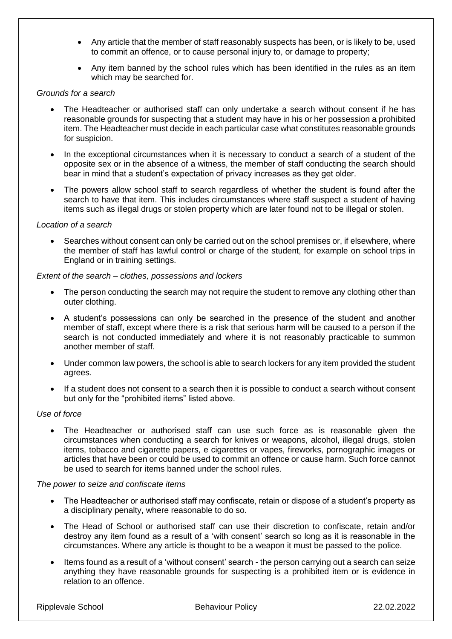- Any article that the member of staff reasonably suspects has been, or is likely to be, used to commit an offence, or to cause personal injury to, or damage to property;
- Any item banned by the school rules which has been identified in the rules as an item which may be searched for.

#### *Grounds for a search*

- The Headteacher or authorised staff can only undertake a search without consent if he has reasonable grounds for suspecting that a student may have in his or her possession a prohibited item. The Headteacher must decide in each particular case what constitutes reasonable grounds for suspicion.
- In the exceptional circumstances when it is necessary to conduct a search of a student of the opposite sex or in the absence of a witness, the member of staff conducting the search should bear in mind that a student's expectation of privacy increases as they get older.
- The powers allow school staff to search regardless of whether the student is found after the search to have that item. This includes circumstances where staff suspect a student of having items such as illegal drugs or stolen property which are later found not to be illegal or stolen.

#### *Location of a search*

Searches without consent can only be carried out on the school premises or, if elsewhere, where the member of staff has lawful control or charge of the student, for example on school trips in England or in training settings.

#### *Extent of the search – clothes, possessions and lockers*

- The person conducting the search may not require the student to remove any clothing other than outer clothing.
- A student's possessions can only be searched in the presence of the student and another member of staff, except where there is a risk that serious harm will be caused to a person if the search is not conducted immediately and where it is not reasonably practicable to summon another member of staff.
- Under common law powers, the school is able to search lockers for any item provided the student agrees.
- If a student does not consent to a search then it is possible to conduct a search without consent but only for the "prohibited items" listed above.

# *Use of force*

The Headteacher or authorised staff can use such force as is reasonable given the circumstances when conducting a search for knives or weapons, alcohol, illegal drugs, stolen items, tobacco and cigarette papers, e cigarettes or vapes, fireworks, pornographic images or articles that have been or could be used to commit an offence or cause harm. Such force cannot be used to search for items banned under the school rules.

#### *The power to seize and confiscate items*

- The Headteacher or authorised staff may confiscate, retain or dispose of a student's property as a disciplinary penalty, where reasonable to do so.
- The Head of School or authorised staff can use their discretion to confiscate, retain and/or destroy any item found as a result of a 'with consent' search so long as it is reasonable in the circumstances. Where any article is thought to be a weapon it must be passed to the police.
- Items found as a result of a 'without consent' search the person carrying out a search can seize anything they have reasonable grounds for suspecting is a prohibited item or is evidence in relation to an offence.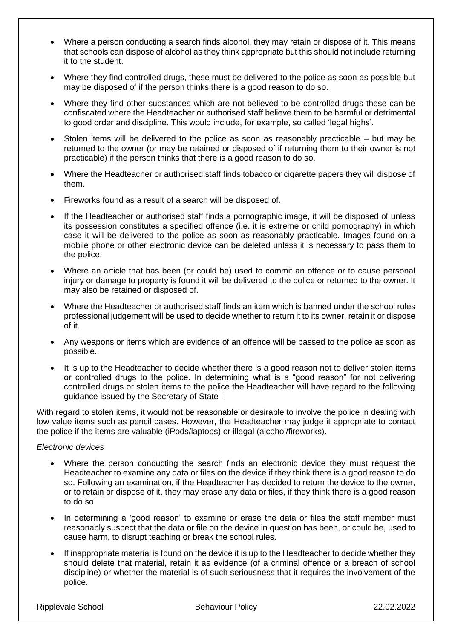- Where a person conducting a search finds alcohol, they may retain or dispose of it. This means that schools can dispose of alcohol as they think appropriate but this should not include returning it to the student.
- Where they find controlled drugs, these must be delivered to the police as soon as possible but may be disposed of if the person thinks there is a good reason to do so.
- Where they find other substances which are not believed to be controlled drugs these can be confiscated where the Headteacher or authorised staff believe them to be harmful or detrimental to good order and discipline. This would include, for example, so called 'legal highs'.
- Stolen items will be delivered to the police as soon as reasonably practicable  $-$  but may be returned to the owner (or may be retained or disposed of if returning them to their owner is not practicable) if the person thinks that there is a good reason to do so.
- Where the Headteacher or authorised staff finds tobacco or cigarette papers they will dispose of them.
- Fireworks found as a result of a search will be disposed of.
- If the Headteacher or authorised staff finds a pornographic image, it will be disposed of unless its possession constitutes a specified offence (i.e. it is extreme or child pornography) in which case it will be delivered to the police as soon as reasonably practicable. Images found on a mobile phone or other electronic device can be deleted unless it is necessary to pass them to the police.
- Where an article that has been (or could be) used to commit an offence or to cause personal injury or damage to property is found it will be delivered to the police or returned to the owner. It may also be retained or disposed of.
- Where the Headteacher or authorised staff finds an item which is banned under the school rules professional judgement will be used to decide whether to return it to its owner, retain it or dispose of it.
- Any weapons or items which are evidence of an offence will be passed to the police as soon as possible.
- It is up to the Headteacher to decide whether there is a good reason not to deliver stolen items or controlled drugs to the police. In determining what is a "good reason" for not delivering controlled drugs or stolen items to the police the Headteacher will have regard to the following guidance issued by the Secretary of State :

With regard to stolen items, it would not be reasonable or desirable to involve the police in dealing with low value items such as pencil cases. However, the Headteacher may judge it appropriate to contact the police if the items are valuable (iPods/laptops) or illegal (alcohol/fireworks).

# *Electronic devices*

- Where the person conducting the search finds an electronic device they must request the Headteacher to examine any data or files on the device if they think there is a good reason to do so. Following an examination, if the Headteacher has decided to return the device to the owner, or to retain or dispose of it, they may erase any data or files, if they think there is a good reason to do so.
- In determining a 'good reason' to examine or erase the data or files the staff member must reasonably suspect that the data or file on the device in question has been, or could be, used to cause harm, to disrupt teaching or break the school rules.
- If inappropriate material is found on the device it is up to the Headteacher to decide whether they should delete that material, retain it as evidence (of a criminal offence or a breach of school discipline) or whether the material is of such seriousness that it requires the involvement of the police.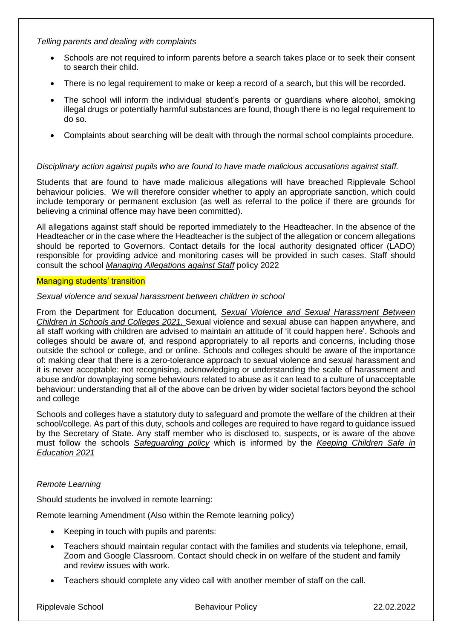*Telling parents and dealing with complaints*

- Schools are not required to inform parents before a search takes place or to seek their consent to search their child.
- There is no legal requirement to make or keep a record of a search, but this will be recorded.
- The school will inform the individual student's parents or guardians where alcohol, smoking illegal drugs or potentially harmful substances are found, though there is no legal requirement to do so.
- Complaints about searching will be dealt with through the normal school complaints procedure.

# *Disciplinary action against pupils who are found to have made malicious accusations against staff.*

Students that are found to have made malicious allegations will have breached Ripplevale School behaviour policies. We will therefore consider whether to apply an appropriate sanction, which could include temporary or permanent exclusion (as well as referral to the police if there are grounds for believing a criminal offence may have been committed).

All allegations against staff should be reported immediately to the Headteacher. In the absence of the Headteacher or in the case where the Headteacher is the subject of the allegation or concern allegations should be reported to Governors. Contact details for the local authority designated officer (LADO) responsible for providing advice and monitoring cases will be provided in such cases. Staff should consult the school *Managing Allegations against Staff* policy 2022

## Managing students' transition

## *Sexual violence and sexual harassment between children in school*

From the Department for Education document, *Sexual Violence and Sexual Harassment Between Children in Schools and Colleges 2021.* Sexual violence and sexual abuse can happen anywhere, and all staff working with children are advised to maintain an attitude of 'it could happen here'. Schools and colleges should be aware of, and respond appropriately to all reports and concerns, including those outside the school or college, and or online. Schools and colleges should be aware of the importance of: making clear that there is a zero-tolerance approach to sexual violence and sexual harassment and it is never acceptable: not recognising, acknowledging or understanding the scale of harassment and abuse and/or downplaying some behaviours related to abuse as it can lead to a culture of unacceptable behaviour: understanding that all of the above can be driven by wider societal factors beyond the school and college

Schools and colleges have a statutory duty to safeguard and promote the welfare of the children at their school/college. As part of this duty, schools and colleges are required to have regard to guidance issued by the Secretary of State. Any staff member who is disclosed to, suspects, or is aware of the above must follow the schools *Safeguarding policy* which is informed by the *Keeping Children Safe in Education 2021*

# *Remote Learning*

Should students be involved in remote learning:

Remote learning Amendment (Also within the Remote learning policy)

- Keeping in touch with pupils and parents:
- Teachers should maintain regular contact with the families and students via telephone, email, Zoom and Google Classroom. Contact should check in on welfare of the student and family and review issues with work.
- Teachers should complete any video call with another member of staff on the call.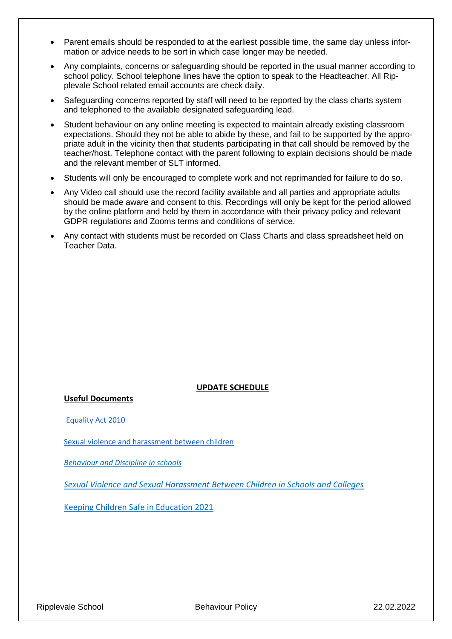- Parent emails should be responded to at the earliest possible time, the same day unless information or advice needs to be sort in which case longer may be needed.
- Any complaints, concerns or safeguarding should be reported in the usual manner according to school policy. School telephone lines have the option to speak to the Headteacher. All Ripplevale School related email accounts are check daily.
- Safeguarding concerns reported by staff will need to be reported by the class charts system and telephoned to the available designated safeguarding lead.
- Student behaviour on any online meeting is expected to maintain already existing classroom expectations. Should they not be able to abide by these, and fail to be supported by the appropriate adult in the vicinity then that students participating in that call should be removed by the teacher/host. Telephone contact with the parent following to explain decisions should be made and the relevant member of SLT informed.
- Students will only be encouraged to complete work and not reprimanded for failure to do so.
- Any Video call should use the record facility available and all parties and appropriate adults should be made aware and consent to this. Recordings will only be kept for the period allowed by the online platform and held by them in accordance with their privacy policy and relevant GDPR regulations and Zooms terms and conditions of service.
- Any contact with students must be recorded on Class Charts and class spreadsheet held on Teacher Data.

#### **UPDATE SCHEDULE**

**Useful Documents**

[Equality Act 2010](https://www.legislation.gov.uk/ukpga/2010/15/contents)

[Sexual violence and harassment between children](https://assets.publishing.service.gov.uk/government/uploads/system/uploads/attachment_data/file/1014224/Sexual_violence_and_sexual_harassment_between_children_in_schools_and_colleges.pdf)

*[Behaviour and Discipline in schools](https://www.gov.uk/government/publications/behaviour-and-discipline-in-schools)*

*Sexual Violence and Sexual [Harassment](https://assets.publishing.service.gov.uk/government/uploads/system/uploads/attachment_data/file/1014224/Sexual_violence_and_sexual_harassment_between_children_in_schools_and_colleges.pdf) [Between](https://assets.publishing.service.gov.uk/government/uploads/system/uploads/attachment_data/file/1014224/Sexual_violence_and_sexual_harassment_between_children_in_schools_and_colleges.pdf) Children in Schools and Colleges*

[Keeping](https://assets.publishing.service.gov.uk/government/uploads/system/uploads/attachment_data/file/1021914/KCSIE_2021_September_guidance.pdf) [Children](https://assets.publishing.service.gov.uk/government/uploads/system/uploads/attachment_data/file/1021914/KCSIE_2021_September_guidance.pdf) Safe in [Education](https://assets.publishing.service.gov.uk/government/uploads/system/uploads/attachment_data/file/1021914/KCSIE_2021_September_guidance.pdfhttps:/assets.publishing.service.gov.uk/government/uploads/system/uploads/attachment_data/file/1021914/KCSIE_2021_September_guidance.pdf) 2021